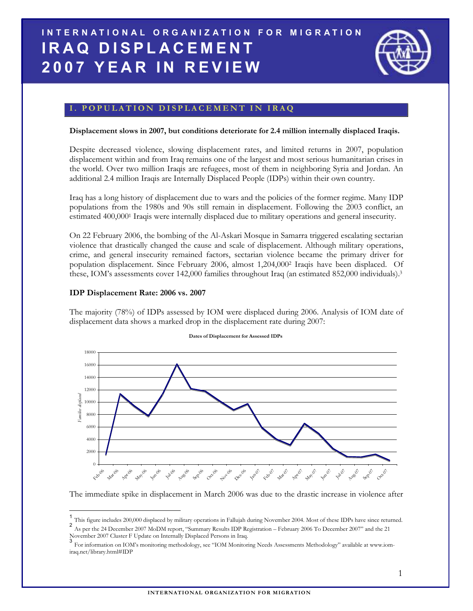# INTERNATIONAL ORGANIZATION FOR MIGRATION IRAQ DISPLACEMENT **2007 YEAR IN REVIEW**



# I. POPULATION DISPLACEMENT IN IRAQ

#### Displacement slows in 2007, but conditions deteriorate for 2.4 million internally displaced Iraqis.

Despite decreased violence, slowing displacement rates, and limited returns in 2007, population displacement within and from Iraq remains one of the largest and most serious humanitarian crises in the world. Over two million Iraqis are refugees, most of them in neighboring Syria and Jordan. An additional 2.4 million Iraqis are Internally Displaced People (IDPs) within their own country.

Iraq has a long history of displacement due to wars and the policies of the former regime. Many IDP populations from the 1980s and 90s still remain in displacement. Following the 2003 conflict, an estimated 400,000<sup>1</sup> Iraqis were internally displaced due to military operations and general insecurity.

On 22 February 2006, the bombing of the Al-Askari Mosque in Samarra triggered escalating sectarian violence that drastically changed the cause and scale of displacement. Although military operations, crime, and general insecurity remained factors, sectarian violence became the primary driver for population displacement. Since February 2006, almost 1,204,000<sup>2</sup> Iraqis have been displaced. Of these, IOM's assessments cover 142,000 families throughout Iraq (an estimated 852,000 individuals).<sup>3</sup>

## IDP Displacement Rate: 2006 vs. 2007

 $\overline{\phantom{a}}$ 

The majority (78%) of IDPs assessed by IOM were displaced during 2006. Analysis of IOM date of displacement data shows a marked drop in the displacement rate during 2007:



#### Dates of Displacement for Assessed IDPs

The immediate spike in displacement in March 2006 was due to the drastic increase in violence after

2 As per the 24 December 2007 MoDM report, "Summary Results IDP Registration – February 2006 To December 2007" and the 21 November 2007 Cluster F Update on Internally Displaced Persons in Iraq. 3

<sup>1</sup> This figure includes 200,000 displaced by military operations in Fallujah during November 2004. Most of these IDPs have since returned.

For information on IOM's monitoring methodology, see "IOM Monitoring Needs Assessments Methodology" available at www.iomiraq.net/library.html#IDP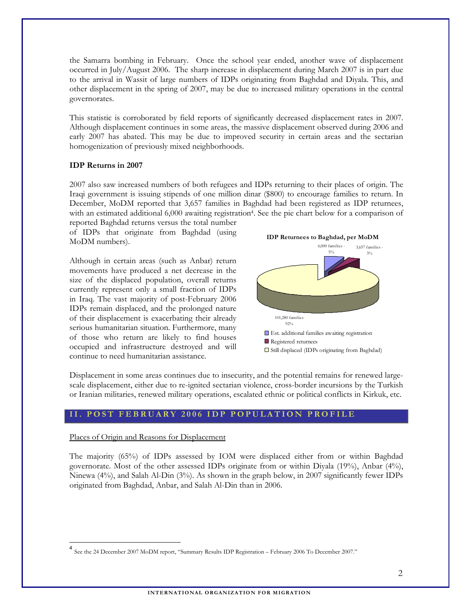the Samarra bombing in February. Once the school year ended, another wave of displacement occurred in July/August 2006. The sharp increase in displacement during March 2007 is in part due to the arrival in Wassit of large numbers of IDPs originating from Baghdad and Diyala. This, and other displacement in the spring of 2007, may be due to increased military operations in the central governorates.

This statistic is corroborated by field reports of significantly decreased displacement rates in 2007. Although displacement continues in some areas, the massive displacement observed during 2006 and early 2007 has abated. This may be due to improved security in certain areas and the sectarian homogenization of previously mixed neighborhoods.

## IDP Returns in 2007

2007 also saw increased numbers of both refugees and IDPs returning to their places of origin. The Iraqi government is issuing stipends of one million dinar (\$800) to encourage families to return. In December, MoDM reported that 3,657 families in Baghdad had been registered as IDP returnees, with an estimated additional 6,000 awaiting registration<sup>4</sup>. See the pie chart below for a comparison of reported Baghdad returns versus the total number

of IDPs that originate from Baghdad (using MoDM numbers).

Although in certain areas (such as Anbar) return movements have produced a net decrease in the size of the displaced population, overall returns currently represent only a small fraction of IDPs in Iraq. The vast majority of post-February 2006 IDPs remain displaced, and the prolonged nature of their displacement is exacerbating their already serious humanitarian situation. Furthermore, many of those who return are likely to find houses occupied and infrastructure destroyed and will continue to need humanitarian assistance.



Displacement in some areas continues due to insecurity, and the potential remains for renewed largescale displacement, either due to re-ignited sectarian violence, cross-border incursions by the Turkish or Iranian militaries, renewed military operations, escalated ethnic or political conflicts in Kirkuk, etc.

## II. POST FEBRUARY 2006 IDP POPULATION PROFILE

#### Places of Origin and Reasons for Displacement

 $\overline{\phantom{a}}$ 

The majority (65%) of IDPs assessed by IOM were displaced either from or within Baghdad governorate. Most of the other assessed IDPs originate from or within Diyala (19%), Anbar (4%), Ninewa (4%), and Salah Al-Din (3%). As shown in the graph below, in 2007 significantly fewer IDPs originated from Baghdad, Anbar, and Salah Al-Din than in 2006.

<sup>4</sup> See the 24 December 2007 MoDM report, "Summary Results IDP Registration – February 2006 To December 2007."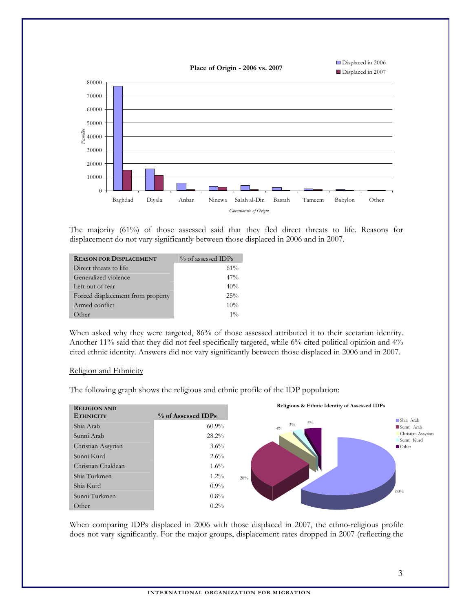

The majority (61%) of those assessed said that they fled direct threats to life. Reasons for displacement do not vary significantly between those displaced in 2006 and in 2007.

| <b>REASON FOR DISPLACEMENT</b>    | % of assessed IDPs |
|-----------------------------------|--------------------|
| Direct threats to life            | 61%                |
| Generalized violence              | 47%                |
| Left out of fear                  | 40%                |
| Forced displacement from property | $25\%$             |
| Armed conflict                    | 10%                |
| Other                             | $1\%$              |

When asked why they were targeted, 86% of those assessed attributed it to their sectarian identity. Another 11% said that they did not feel specifically targeted, while 6% cited political opinion and 4% cited ethnic identity. Answers did not vary significantly between those displaced in 2006 and in 2007.

#### Religion and Ethnicity

The following graph shows the religious and ethnic profile of the IDP population:



When comparing IDPs displaced in 2006 with those displaced in 2007, the ethno-religious profile does not vary significantly. For the major groups, displacement rates dropped in 2007 (reflecting the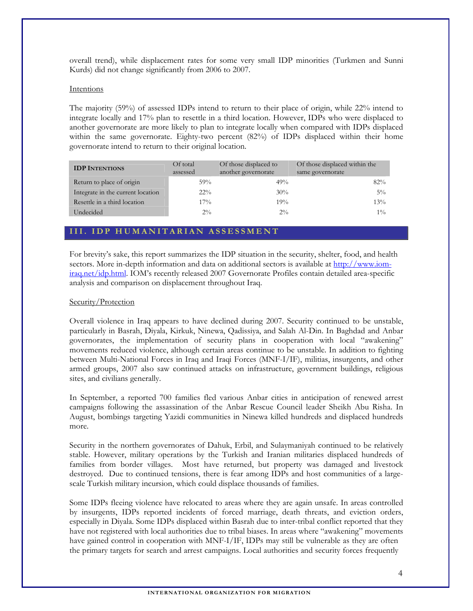overall trend), while displacement rates for some very small IDP minorities (Turkmen and Sunni Kurds) did not change significantly from 2006 to 2007.

## Intentions

The majority (59%) of assessed IDPs intend to return to their place of origin, while 22% intend to integrate locally and 17% plan to resettle in a third location. However, IDPs who were displaced to another governorate are more likely to plan to integrate locally when compared with IDPs displaced within the same governorate. Eighty-two percent (82%) of IDPs displaced within their home governorate intend to return to their original location.

| <b>IDP INTENTIONS</b>             | Of total<br>assessed | Of those displaced to<br>another governorate | Of those displaced within the<br>same governorate |
|-----------------------------------|----------------------|----------------------------------------------|---------------------------------------------------|
| Return to place of origin         | 59%                  | 49%                                          | 82%                                               |
| Integrate in the current location | $22\%$               | 30%                                          | $5\%$                                             |
| Resettle in a third location      | $17\%$               | 19%                                          | 13%                                               |
| Undecided                         | $2\%$                | $2\%$                                        | $1\%$                                             |

# III. IDP HUMANITARIAN ASSESSMENT

For brevity's sake, this report summarizes the IDP situation in the security, shelter, food, and health sectors. More in-depth information and data on additional sectors is available at http://www.iomiraq.net/idp.html. IOM's recently released 2007 Governorate Profiles contain detailed area-specific analysis and comparison on displacement throughout Iraq.

# Security/Protection

Overall violence in Iraq appears to have declined during 2007. Security continued to be unstable, particularly in Basrah, Diyala, Kirkuk, Ninewa, Qadissiya, and Salah Al-Din. In Baghdad and Anbar governorates, the implementation of security plans in cooperation with local "awakening" movements reduced violence, although certain areas continue to be unstable. In addition to fighting between Multi-National Forces in Iraq and Iraqi Forces (MNF-I/IF), militias, insurgents, and other armed groups, 2007 also saw continued attacks on infrastructure, government buildings, religious sites, and civilians generally.

In September, a reported 700 families fled various Anbar cities in anticipation of renewed arrest campaigns following the assassination of the Anbar Rescue Council leader Sheikh Abu Risha. In August, bombings targeting Yazidi communities in Ninewa killed hundreds and displaced hundreds more.

Security in the northern governorates of Dahuk, Erbil, and Sulaymaniyah continued to be relatively stable. However, military operations by the Turkish and Iranian militaries displaced hundreds of families from border villages. Most have returned, but property was damaged and livestock destroyed. Due to continued tensions, there is fear among IDPs and host communities of a largescale Turkish military incursion, which could displace thousands of families.

Some IDPs fleeing violence have relocated to areas where they are again unsafe. In areas controlled by insurgents, IDPs reported incidents of forced marriage, death threats, and eviction orders, especially in Diyala. Some IDPs displaced within Basrah due to inter-tribal conflict reported that they have not registered with local authorities due to tribal biases. In areas where "awakening" movements have gained control in cooperation with MNF-I/IF, IDPs may still be vulnerable as they are often the primary targets for search and arrest campaigns. Local authorities and security forces frequently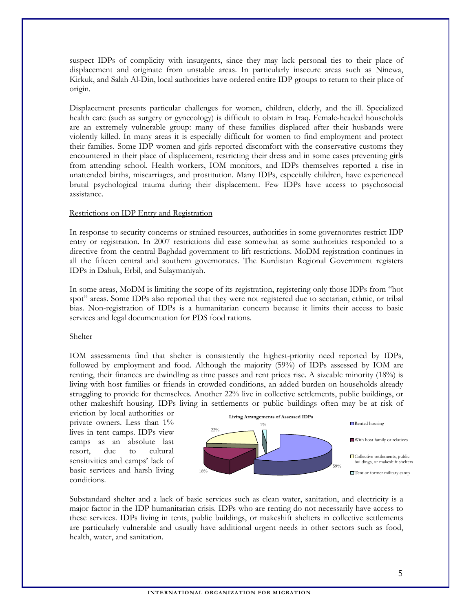suspect IDPs of complicity with insurgents, since they may lack personal ties to their place of displacement and originate from unstable areas. In particularly insecure areas such as Ninewa, Kirkuk, and Salah Al-Din, local authorities have ordered entire IDP groups to return to their place of origin.

Displacement presents particular challenges for women, children, elderly, and the ill. Specialized health care (such as surgery or gynecology) is difficult to obtain in Iraq. Female-headed households are an extremely vulnerable group: many of these families displaced after their husbands were violently killed. In many areas it is especially difficult for women to find employment and protect their families. Some IDP women and girls reported discomfort with the conservative customs they encountered in their place of displacement, restricting their dress and in some cases preventing girls from attending school. Health workers, IOM monitors, and IDPs themselves reported a rise in unattended births, miscarriages, and prostitution. Many IDPs, especially children, have experienced brutal psychological trauma during their displacement. Few IDPs have access to psychosocial assistance.

## **Restrictions on IDP Entry and Registration**

In response to security concerns or strained resources, authorities in some governorates restrict IDP entry or registration. In 2007 restrictions did ease somewhat as some authorities responded to a directive from the central Baghdad government to lift restrictions. MoDM registration continues in all the fifteen central and southern governorates. The Kurdistan Regional Government registers IDPs in Dahuk, Erbil, and Sulaymaniyah.

In some areas, MoDM is limiting the scope of its registration, registering only those IDPs from "hot spot" areas. Some IDPs also reported that they were not registered due to sectarian, ethnic, or tribal bias. Non-registration of IDPs is a humanitarian concern because it limits their access to basic services and legal documentation for PDS food rations.

## Shelter

IOM assessments find that shelter is consistently the highest-priority need reported by IDPs, followed by employment and food. Although the majority (59%) of IDPs assessed by IOM are renting, their finances are dwindling as time passes and rent prices rise. A sizeable minority (18%) is living with host families or friends in crowded conditions, an added burden on households already struggling to provide for themselves. Another 22% live in collective settlements, public buildings, or other makeshift housing. IDPs living in settlements or public buildings often may be at risk of

eviction by local authorities or private owners. Less than 1% lives in tent camps. IDPs view camps as an absolute last resort, due to cultural sensitivities and camps' lack of basic services and harsh living conditions.



Substandard shelter and a lack of basic services such as clean water, sanitation, and electricity is a major factor in the IDP humanitarian crisis. IDPs who are renting do not necessarily have access to these services. IDPs living in tents, public buildings, or makeshift shelters in collective settlements are particularly vulnerable and usually have additional urgent needs in other sectors such as food, health, water, and sanitation.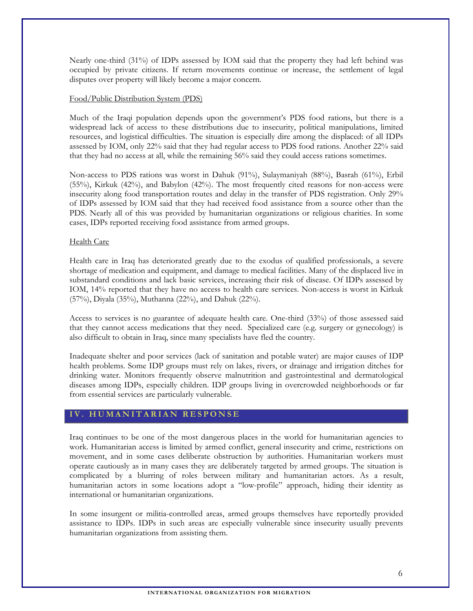Nearly one-third (31%) of IDPs assessed by IOM said that the property they had left behind was occupied by private citizens. If return movements continue or increase, the settlement of legal disputes over property will likely become a major concern.

## Food/Public Distribution System (PDS)

Much of the Iraqi population depends upon the government's PDS food rations, but there is a widespread lack of access to these distributions due to insecurity, political manipulations, limited resources, and logistical difficulties. The situation is especially dire among the displaced: of all IDPs assessed by IOM, only 22% said that they had regular access to PDS food rations. Another 22% said that they had no access at all, while the remaining 56% said they could access rations sometimes.

Non-access to PDS rations was worst in Dahuk (91%), Sulaymaniyah (88%), Basrah (61%), Erbil (55%), Kirkuk (42%), and Babylon (42%). The most frequently cited reasons for non-access were insecurity along food transportation routes and delay in the transfer of PDS registration. Only 29% of IDPs assessed by IOM said that they had received food assistance from a source other than the PDS. Nearly all of this was provided by humanitarian organizations or religious charities. In some cases, IDPs reported receiving food assistance from armed groups.

#### Health Care

Health care in Iraq has deteriorated greatly due to the exodus of qualified professionals, a severe shortage of medication and equipment, and damage to medical facilities. Many of the displaced live in substandard conditions and lack basic services, increasing their risk of disease. Of IDPs assessed by IOM, 14% reported that they have no access to health care services. Non-access is worst in Kirkuk (57%), Diyala (35%), Muthanna (22%), and Dahuk (22%).

Access to services is no guarantee of adequate health care. One-third (33%) of those assessed said that they cannot access medications that they need. Specialized care (e.g. surgery or gynecology) is also difficult to obtain in Iraq, since many specialists have fled the country.

Inadequate shelter and poor services (lack of sanitation and potable water) are major causes of IDP health problems. Some IDP groups must rely on lakes, rivers, or drainage and irrigation ditches for drinking water. Monitors frequently observe malnutrition and gastrointestinal and dermatological diseases among IDPs, especially children. IDP groups living in overcrowded neighborhoods or far from essential services are particularly vulnerable.

## IV. HUMANITARIAN RESPONSE

Iraq continues to be one of the most dangerous places in the world for humanitarian agencies to work. Humanitarian access is limited by armed conflict, general insecurity and crime, restrictions on movement, and in some cases deliberate obstruction by authorities. Humanitarian workers must operate cautiously as in many cases they are deliberately targeted by armed groups. The situation is complicated by a blurring of roles between military and humanitarian actors. As a result, humanitarian actors in some locations adopt a "low-profile" approach, hiding their identity as international or humanitarian organizations.

In some insurgent or militia-controlled areas, armed groups themselves have reportedly provided assistance to IDPs. IDPs in such areas are especially vulnerable since insecurity usually prevents humanitarian organizations from assisting them.